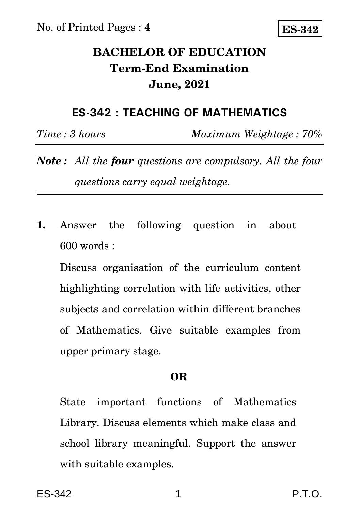# **BACHELOR OF EDUCATION Term-End Examination June, 2021**

### **ES-342 : TEACHING OF MATHEMATICS**

*Time : 3 hours Maximum Weightage : 70%*

*Note : All the four questions are compulsory. All the four questions carry equal weightage.*

**1.** Answer the following question in about 600 words :

Discuss organisation of the curriculum content highlighting correlation with life activities, other subjects and correlation within different branches of Mathematics. Give suitable examples from upper primary stage.

#### **OR**

State important functions of Mathematics Library. Discuss elements which make class and school library meaningful. Support the answer with suitable examples.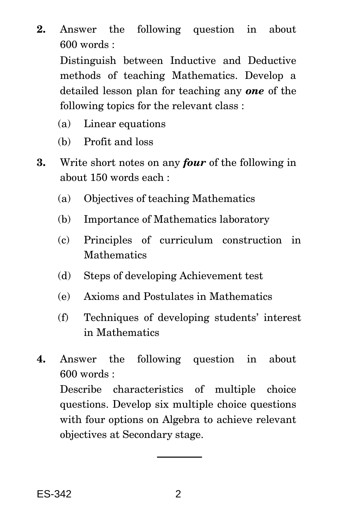**2.** Answer the following question in about 600 words :

Distinguish between Inductive and Deductive methods of teaching Mathematics. Develop a detailed lesson plan for teaching any *one* of the following topics for the relevant class :

- (a) Linear equations
- (b) Profit and loss
- **3.** Write short notes on any *four* of the following in about 150 words each :
	- (a) Objectives of teaching Mathematics
	- (b) Importance of Mathematics laboratory
	- (c) Principles of curriculum construction in **Mathematics**
	- (d) Steps of developing Achievement test
	- (e) Axioms and Postulates in Mathematics
	- (f) Techniques of developing students' interest in Mathematics

**4.** Answer the following question in about 600 words : Describe characteristics of multiple choice questions. Develop six multiple choice questions with four options on Algebra to achieve relevant objectives at Secondary stage.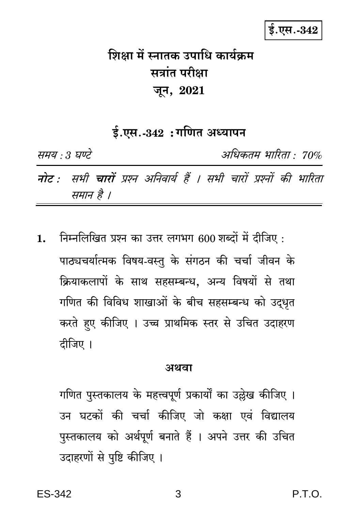# ई.एस.- $342$

# शिक्षा में स्नातक उपाधि कार्यक्रम सत्रांत परीक्षा जून, 2021

ई.एस.-342: गणित अध्यापन

समय : 3 घण्टे अधिकतम भारिता : 70% नोट : सभी चारों प्रश्न अनिवार्य हैं । सभी चारों प्रश्नों की भारिता समान है ।

निम्नलिखित प्रश्न का उत्तर लगभग 600 शब्दों में दीजिए:  $\mathbf{1}$ . पाठ्यचर्यात्मक विषय-वस्तु के संगठन की चर्चा जीवन के क्रियाकलापों के साथ सहसम्बन्ध, अन्य विषयों से तथा गणित की विविध शाखाओं के बीच सहसम्बन्ध को उद्धृत करते हुए कीजिए । उच्च प्राथमिक स्तर से उचित उदाहरण दीजिए ।

#### अथवा

गणित पुस्तकालय के महत्त्वपूर्ण प्रकार्यों का उल्लेख कीजिए । उन घटकों की चर्चा कीजिए जो कक्षा एवं विद्यालय पुस्तकालय को अर्थपूर्ण बनाते हैं । अपने उत्तर की उचित उदाहरणों से पुष्टि कीजिए ।

P.T.O.